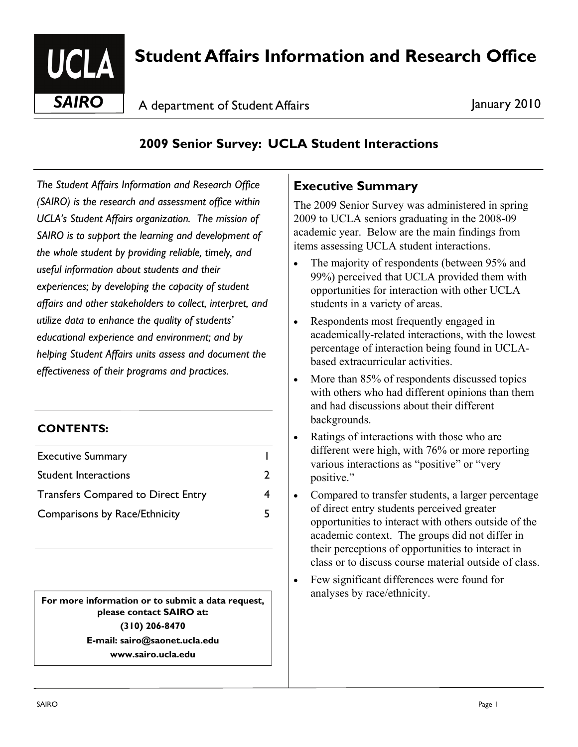

# **Student Affairs Information and Research Office**

**SAIRO** A department of Student Affairs All Annuary 2010

# **2009 Senior Survey: UCLA Student Interactions**

*The Student Affairs Information and Research Office (SAIRO) is the research and assessment office within UCLA's Student Affairs organization. The mission of SAIRO is to support the learning and development of the whole student by providing reliable, timely, and useful information about students and their experiences; by developing the capacity of student affairs and other stakeholders to collect, interpret, and utilize data to enhance the quality of students' educational experience and environment; and by helping Student Affairs units assess and document the effectiveness of their programs and practices.* 

#### **CONTENTS:**

| <b>Executive Summary</b>                  |  |
|-------------------------------------------|--|
| <b>Student Interactions</b>               |  |
| <b>Transfers Compared to Direct Entry</b> |  |
| Comparisons by Race/Ethnicity             |  |

**For more information or to submit a data request.** analyses by race/ethnicity. **please contact SAIRO at: (310) 206-8470 E-mail: sairo@saonet.ucla.edu www.sairo.ucla.edu** 

# **Executive Summary**

The 2009 Senior Survey was administered in spring 2009 to UCLA seniors graduating in the 2008-09 academic year. Below are the main findings from items assessing UCLA student interactions.

- The majority of respondents (between 95% and 99%) perceived that UCLA provided them with opportunities for interaction with other UCLA students in a variety of areas.
- Respondents most frequently engaged in academically-related interactions, with the lowest percentage of interaction being found in UCLAbased extracurricular activities.
- More than 85% of respondents discussed topics with others who had different opinions than them and had discussions about their different backgrounds.
- Ratings of interactions with those who are different were high, with 76% or more reporting various interactions as "positive" or "very positive."
- Compared to transfer students, a larger percentage of direct entry students perceived greater opportunities to interact with others outside of the academic context. The groups did not differ in their perceptions of opportunities to interact in class or to discuss course material outside of class.
- Few significant differences were found for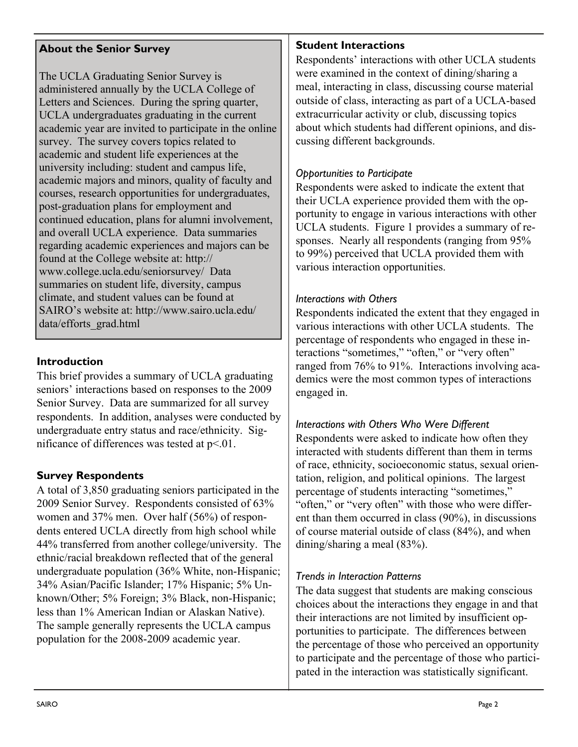## **About the Senior Survey**

The UCLA Graduating Senior Survey is administered annually by the UCLA College of Letters and Sciences. During the spring quarter, UCLA undergraduates graduating in the current academic year are invited to participate in the online survey. The survey covers topics related to academic and student life experiences at the university including: student and campus life, academic majors and minors, quality of faculty and courses, research opportunities for undergraduates, post-graduation plans for employment and continued education, plans for alumni involvement, and overall UCLA experience. Data summaries regarding academic experiences and majors can be found at the College website at: http:// www.college.ucla.edu/seniorsurvey/ Data summaries on student life, diversity, campus climate, and student values can be found at SAIRO's website at: http://www.sairo.ucla.edu/ data/efforts\_grad.html

## **Introduction**

This brief provides a summary of UCLA graduating seniors' interactions based on responses to the 2009 Senior Survey. Data are summarized for all survey respondents. In addition, analyses were conducted by undergraduate entry status and race/ethnicity. Significance of differences was tested at  $p < 01$ .

# **Survey Respondents**

A total of 3,850 graduating seniors participated in the 2009 Senior Survey. Respondents consisted of 63% women and 37% men. Over half (56%) of respondents entered UCLA directly from high school while 44% transferred from another college/university. The ethnic/racial breakdown reflected that of the general undergraduate population (36% White, non-Hispanic; 34% Asian/Pacific Islander; 17% Hispanic; 5% Unknown/Other; 5% Foreign; 3% Black, non-Hispanic; less than 1% American Indian or Alaskan Native). The sample generally represents the UCLA campus population for the 2008-2009 academic year.

# **Student Interactions**

Respondents' interactions with other UCLA students were examined in the context of dining/sharing a meal, interacting in class, discussing course material outside of class, interacting as part of a UCLA-based extracurricular activity or club, discussing topics about which students had different opinions, and discussing different backgrounds.

# *Opportunities to Participate*

Respondents were asked to indicate the extent that their UCLA experience provided them with the opportunity to engage in various interactions with other UCLA students. Figure 1 provides a summary of responses. Nearly all respondents (ranging from 95% to 99%) perceived that UCLA provided them with various interaction opportunities.

#### *Interactions with Others*

Respondents indicated the extent that they engaged in various interactions with other UCLA students. The percentage of respondents who engaged in these interactions "sometimes," "often," or "very often" ranged from 76% to 91%. Interactions involving academics were the most common types of interactions engaged in.

#### *Interactions with Others Who Were Different*

Respondents were asked to indicate how often they interacted with students different than them in terms of race, ethnicity, socioeconomic status, sexual orientation, religion, and political opinions. The largest percentage of students interacting "sometimes," "often," or "very often" with those who were different than them occurred in class (90%), in discussions of course material outside of class (84%), and when dining/sharing a meal (83%).

#### *Trends in Interaction Patterns*

The data suggest that students are making conscious choices about the interactions they engage in and that their interactions are not limited by insufficient opportunities to participate. The differences between the percentage of those who perceived an opportunity to participate and the percentage of those who participated in the interaction was statistically significant.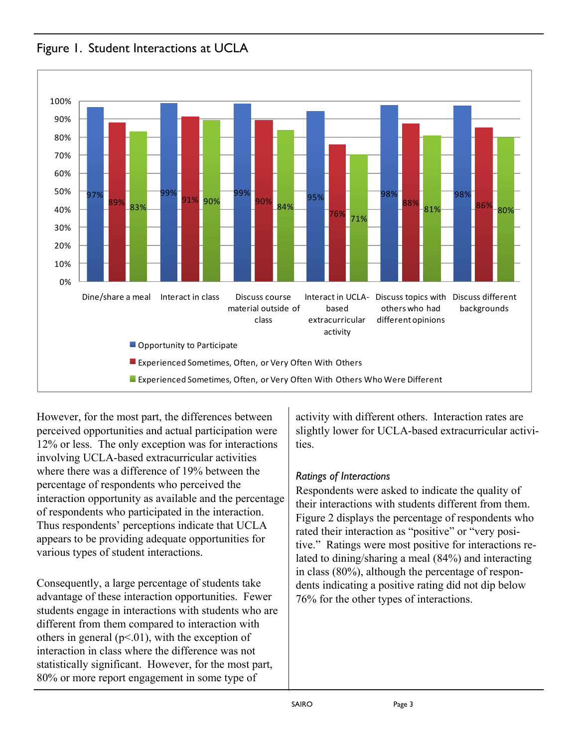

Figure 1. Student Interactions at UCLA

However, for the most part, the differences between perceived opportunities and actual participation were 12% or less. The only exception was for interactions involving UCLA-based extracurricular activities where there was a difference of 19% between the percentage of respondents who perceived the interaction opportunity as available and the percentage of respondents who participated in the interaction. Thus respondents' perceptions indicate that UCLA appears to be providing adequate opportunities for various types of student interactions.

Consequently, a large percentage of students take advantage of these interaction opportunities. Fewer students engage in interactions with students who are different from them compared to interaction with others in general ( $p<01$ ), with the exception of interaction in class where the difference was not statistically significant. However, for the most part, 80% or more report engagement in some type of

activity with different others. Interaction rates are slightly lower for UCLA-based extracurricular activities.

#### *Ratings of Interactions*

Respondents were asked to indicate the quality of their interactions with students different from them. Figure 2 displays the percentage of respondents who rated their interaction as "positive" or "very positive." Ratings were most positive for interactions related to dining/sharing a meal (84%) and interacting in class (80%), although the percentage of respondents indicating a positive rating did not dip below 76% for the other types of interactions.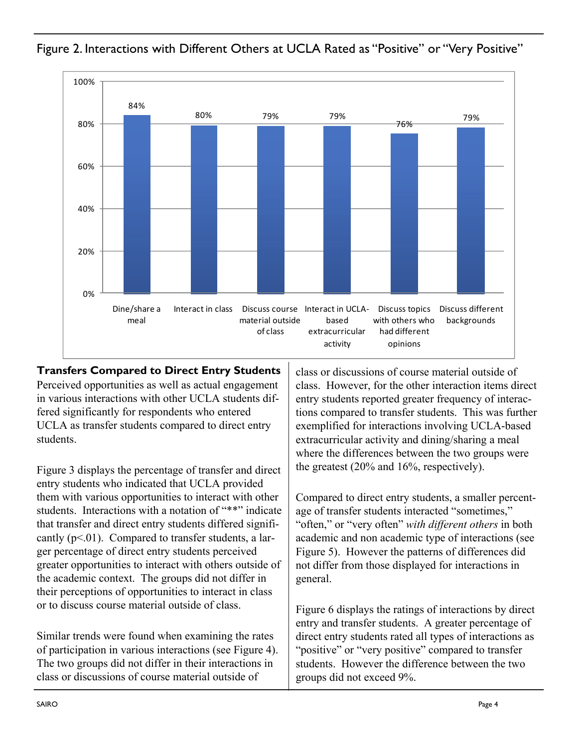

Figure 2. Interactions with Different Others at UCLA Rated as "Positive" or "Very Positive"

**Transfers Compared to Direct Entry Students**  Perceived opportunities as well as actual engagement in various interactions with other UCLA students differed significantly for respondents who entered UCLA as transfer students compared to direct entry students.

Figure 3 displays the percentage of transfer and direct entry students who indicated that UCLA provided them with various opportunities to interact with other students. Interactions with a notation of "\*\*" indicate that transfer and direct entry students differed significantly  $(p<01)$ . Compared to transfer students, a larger percentage of direct entry students perceived greater opportunities to interact with others outside of the academic context. The groups did not differ in their perceptions of opportunities to interact in class or to discuss course material outside of class.

Similar trends were found when examining the rates of participation in various interactions (see Figure 4). The two groups did not differ in their interactions in class or discussions of course material outside of

class or discussions of course material outside of class. However, for the other interaction items direct entry students reported greater frequency of interactions compared to transfer students. This was further exemplified for interactions involving UCLA-based extracurricular activity and dining/sharing a meal where the differences between the two groups were the greatest (20% and 16%, respectively).

Compared to direct entry students, a smaller percentage of transfer students interacted "sometimes," "often," or "very often" *with different others* in both academic and non academic type of interactions (see Figure 5). However the patterns of differences did not differ from those displayed for interactions in general.

Figure 6 displays the ratings of interactions by direct entry and transfer students. A greater percentage of direct entry students rated all types of interactions as "positive" or "very positive" compared to transfer students. However the difference between the two groups did not exceed 9%.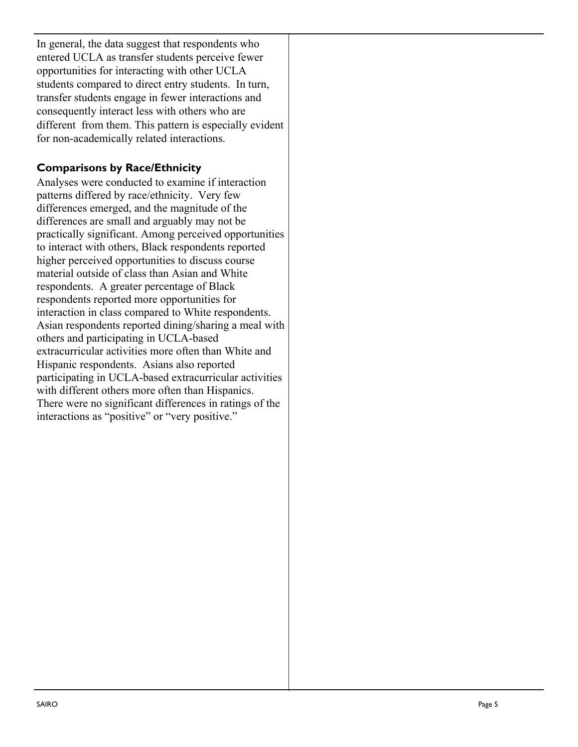In general, the data suggest that respondents who entered UCLA as transfer students perceive fewer opportunities for interacting with other UCLA students compared to direct entry students. In turn, transfer students engage in fewer interactions and consequently interact less with others who are different from them. This pattern is especially evident for non-academically related interactions.

# **Comparisons by Race/Ethnicity**

Analyses were conducted to examine if interaction patterns differed by race/ethnicity. Very few differences emerged, and the magnitude of the differences are small and arguably may not be practically significant. Among perceived opportunities to interact with others, Black respondents reported higher perceived opportunities to discuss course material outside of class than Asian and White respondents. A greater percentage of Black respondents reported more opportunities for interaction in class compared to White respondents. Asian respondents reported dining/sharing a meal with others and participating in UCLA-based extracurricular activities more often than White and Hispanic respondents. Asians also reported participating in UCLA-based extracurricular activities with different others more often than Hispanics. There were no significant differences in ratings of the interactions as "positive" or "very positive."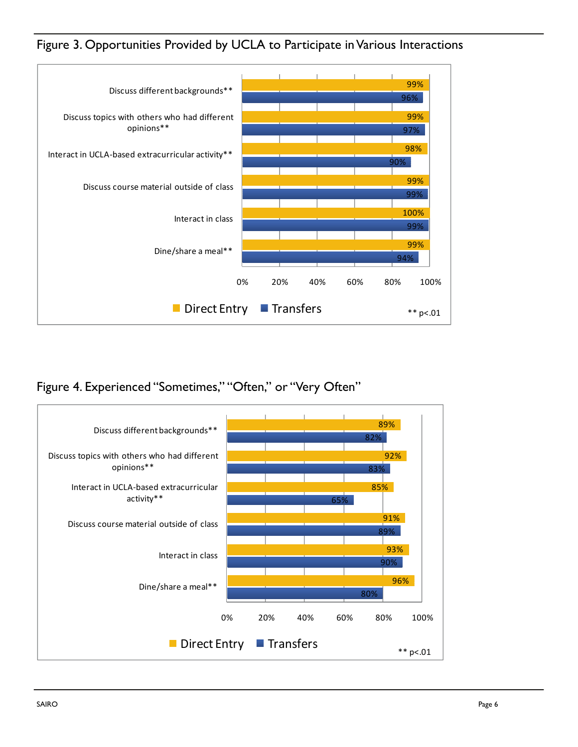Figure 3. Opportunities Provided by UCLA to Participate in Various Interactions



Figure 4. Experienced "Sometimes," "Often," or "Very Often"